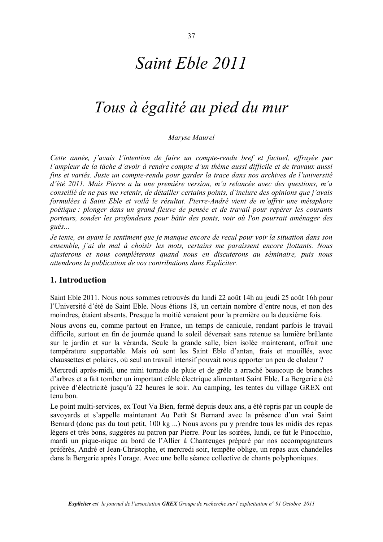# Saint Eble 2011

## Tous à égalité au pied du mur

Marvse Maurel

Cette année, j'avais l'intention de faire un compte-rendu bref et factuel, effrayée par l'ampleur de la tâche d'avoir à rendre compte d'un thème aussi difficile et de travaux aussi fins et variés. Juste un compte-rendu pour garder la trace dans nos archives de l'université d'été 2011. Mais Pierre a lu une première version, m'a relancée avec des questions, m'a conseillé de ne pas me retenir, de détailler certains points, d'inclure des opinions que j'avais formulées à Saint Eble et voilà le résultat. Pierre-André vient de m'offrir une métaphore poétique : plonger dans un grand fleuve de pensée et de travail pour repérer les courants porteurs, sonder les profondeurs pour bâtir des ponts, voir où l'on pourrait aménager des  $qu\acute{e}s...$ 

Je tente, en avant le sentiment que je manque encore de recul pour voir la situation dans son ensemble, j'ai du mal à choisir les mots, certains me paraissent encore flottants. Nous ajusterons et nous compléterons quand nous en discuterons au séminaire, puis nous attendrons la publication de vos contributions dans Expliciter.

## 1. Introduction

Saint Eble 2011. Nous nous sommes retrouvés du lundi 22 août 14h au jeudi 25 août 16h pour l'Université d'été de Saint Eble. Nous étions 18, un certain nombre d'entre nous, et non des moindres, étaient absents. Presque la moitié venaient pour la première ou la deuxième fois.

Nous avons eu, comme partout en France, un temps de canicule, rendant parfois le travail difficile, surtout en fin de journée quand le soleil déversait sans retenue sa lumière brûlante sur le jardin et sur la véranda. Seule la grande salle, bien isolée maintenant, offrait une température supportable. Mais où sont les Saint Eble d'antan, frais et mouillés, avec chaussettes et polaires, où seul un travail intensif pouvait nous apporter un peu de chaleur?

Mercredi après-midi, une mini tornade de pluie et de grêle a arraché beaucoup de branches d'arbres et a fait tomber un important câble électrique alimentant Saint Eble. La Bergerie a été privée d'électricité jusqu'à 22 heures le soir. Au camping, les tentes du village GREX ont tenu bon

Le point multi-services, ex Tout Va Bien, fermé depuis deux ans, a été repris par un couple de sayovards et s'appelle maintenant Au Petit St Bernard avec la présence d'un vrai Saint Bernard (donc pas du tout petit, 100 kg ...) Nous avons pu y prendre tous les midis des repas légers et très bons, suggérés au patron par Pierre. Pour les soirées, lundi, ce fut le Pinocchio, mardi un pique-nique au bord de l'Allier à Chanteuges préparé par nos accompagnateurs préférés, André et Jean-Christophe, et mercredi soir, tempête oblige, un repas aux chandelles dans la Bergerie après l'orage. Avec une belle séance collective de chants polyphoniques.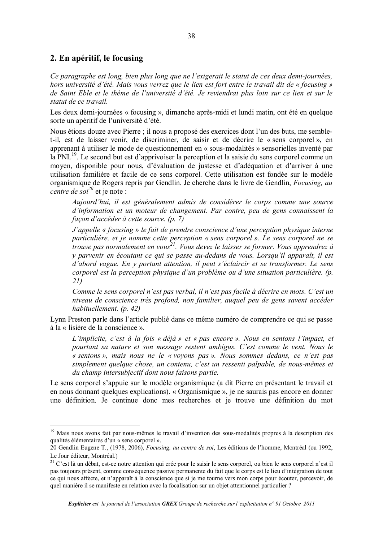## 2. En apéritif, le focusing

Ce paragraphe est long, bien plus long que ne l'exigerait le statut de ces deux demi-journées, hors université d'été. Mais vous verrez que le lien est fort entre le travail dit de « focusing » de Saint Eble et le thème de l'université d'été. Je reviendrai plus loin sur ce lien et sur le statut de ce travail.

Les deux demi-journées « focusing », dimanche après-midi et lundi matin, ont été en quelque sorte un apéritif de l'université d'été.

Nous étions douze avec Pierre ; il nous a proposé des exercices dont l'un des buts, me semblet-il, est de laisser venir, de discriminer, de saisir et de décrire le « sens corporel », en apprenant à utiliser le mode de questionnement en « sous-modalités » sensorielles inventé par la PNL<sup>19</sup>. Le second but est d'apprivoiser la perception et la saisie du sens corporel comme un moyen, disponible pour nous, d'évaluation de justesse et d'adéquation et d'arriver à une utilisation familière et facile de ce sens corporel. Cette utilisation est fondée sur le modèle organismique de Rogers repris par Gendlin. Je cherche dans le livre de Gendlin, *Focusing, au* centre de soi<sup>20</sup> et je note :

Aujourd'hui, il est généralement admis de considérer le corps comme une source d'information et un moteur de changement. Par contre, peu de gens connaissent la facon d'accéder à cette source. (p. 7)

J'appelle « focusing » le fait de prendre conscience d'une perception physique interne particulière, et je nomme cette perception « sens corporel ». Le sens corporel ne se trouve pas normalement en vous<sup>21</sup>. Vous devez le laisser se former. Vous apprendrez à y parvenir en écoutant ce qui se passe au-dedans de vous. Lorsqu'il apparaît, il est d'abord vague. En y portant attention, il peut s'éclaircir et se transformer. Le sens corporel est la perception physique d'un problème ou d'une situation particulière. (p. 21)

Comme le sens corporel n'est pas verbal, il n'est pas facile à décrire en mots. C'est un niveau de conscience très profond, non familier, auquel peu de gens savent accéder habituellement. (p. 42)

Lynn Preston parle dans l'article publié dans ce même numéro de comprendre ce qui se passe à la « lisière de la conscience ».

L'implicite, c'est à la fois « déjà » et « pas encore ». Nous en sentons l'impact, et pourtant sa nature et son message restent ambigus. C'est comme le vent. Nous le « sentons », mais nous ne le « voyons pas ». Nous sommes dedans, ce n'est pas simplement quelque chose, un contenu, c'est un ressenti palpable, de nous-mêmes et du champ intersubjectif dont nous faisons partie.

Le sens corporel s'appuie sur le modèle organismique (a dit Pierre en présentant le travail et en nous donnant quelques explications). « Organismique », je ne saurais pas encore en donner une définition. Je continue donc mes recherches et je trouve une définition du mot

<sup>&</sup>lt;sup>19</sup> Mais nous avons fait par nous-mêmes le travail d'invention des sous-modalités propres à la description des qualités élémentaires d'un « sens corporel ».

<sup>20</sup> Gendlin Eugene T., (1978, 2006), *Focusing, au centre de soi*, Les éditions de l'homme, Montréal (ou 1992, Le Jour éditeur, Montréal.)

<sup>&</sup>lt;sup>21</sup> C'est là un débat, est-ce notre attention qui crée pour le saisir le sens corporel, ou bien le sens corporel n'est il pas toujours présent, comme conséquence passive permanente du fait que le corps est le lieu d'intégration de tout ce qui nous affecte, et n'apparaît à la conscience que si je me tourne vers mon corps pour écouter, percevoir, de quel manière il se manifeste en relation avec la focalisation sur un objet attentionnel particulier ?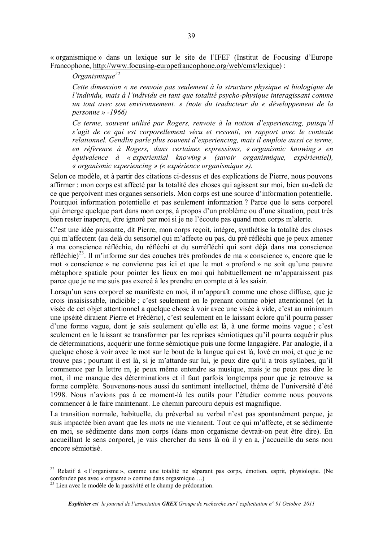« organismique » dans un lexique sur le site de l'IFEF (Institut de Focusing d'Europe Francophone, http://www.focusing-europefrancophone.org/web/cms/lexique):

Organismique<sup>22</sup>

Cette dimension « ne renvoie pas seulement à la structure physique et biologique de l'individu, mais à l'individu en tant que totalité psycho-physique interagissant comme un tout avec son environnement. » (note du traducteur du « développement de la personne » -1966)

Ce terme, souvent utilisé par Rogers, renvoie à la notion d'experiencing, puisqu'il s'agit de ce qui est corporellement vécu et ressenti, en rapport avec le contexte relationnel. Gendlin parle plus souvent d'experiencing, mais il emploie aussi ce terme, en référence à Rogers, dans certaines expressions, « organismic knowing » en équivalence  $\dot{a}$  « experiential knowing » (savoir organismique, expérientiel), « organismic experiencing » (« expérience organismique »).

Selon ce modèle, et à partir des citations ci-dessus et des explications de Pierre, nous pouvons affirmer : mon corps est affecté par la totalité des choses qui agissent sur moi, bien au-delà de ce que perçoivent mes organes sensoriels. Mon corps est une source d'information potentielle. Pourquoi information potentielle et pas seulement information? Parce que le sens corporel qui émerge quelque part dans mon corps, à propos d'un problème ou d'une situation, peut très bien rester inaperçu, être ignoré par moi si je ne l'écoute pas quand mon corps m'alerte.

C'est une idée puissante, dit Pierre, mon corps reçoit, intègre, synthétise la totalité des choses qui m'affectent (au delà du sensoriel qui m'affecte ou pas, du pré réfléchi que je peux amener à ma conscience réfléchie, du réfléchi et du surréfléchi qui sont déjà dans ma conscience réfléchie)<sup>23</sup>. Il m'informe sur des couches très profondes de ma « conscience », encore que le mot « conscience » ne convienne pas ici et que le mot « profond » ne soit qu'une pauvre métaphore spatiale pour pointer les lieux en moi qui habituellement ne m'apparaissent pas parce que je ne me suis pas exercé à les prendre en compte et à les saisir.

Lorsqu'un sens corporel se manifeste en moi, il m'apparaît comme une chose diffuse, que je crois insaisissable, indicible ; c'est seulement en le prenant comme objet attentionnel (et la visée de cet objet attentionnel a quelque chose à voir avec une visée à vide, c'est au minimum une ipséité diraient Pierre et Frédéric), c'est seulement en le laissant éclore qu'il pourra passer d'une forme vague, dont je sais seulement qu'elle est là, à une forme moins vague ; c'est seulement en le laissant se transformer par les reprises sémiotiques qu'il pourra acquérir plus de déterminations, acquérir une forme sémiotique puis une forme langagière. Par analogie, il a quelque chose à voir avec le mot sur le bout de la langue qui est là, lové en moi, et que je ne trouve pas; pourtant il est là, si je m'attarde sur lui, je peux dire qu'il a trois syllabes, qu'il commence par la lettre m, je peux même entendre sa musique, mais je ne peux pas dire le mot, il me manque des déterminations et il faut parfois longtemps pour que je retrouve sa forme complète. Souvenons-nous aussi du sentiment intellectuel, thème de l'université d'été 1998. Nous n'avions pas à ce moment-là les outils pour l'étudier comme nous pouvons commencer à le faire maintenant. Le chemin parcouru depuis est magnifique.

La transition normale, habituelle, du préverbal au verbal n'est pas spontanément percue, je suis impactée bien avant que les mots ne me viennent. Tout ce qui m'affecte, et se sédimente en moi, se sédimente dans mon corps (dans mon organisme devrait-on peut être dire). En accueillant le sens corporel, je vais chercher du sens là où il y en a, j'accueille du sens non encore sémiotisé

<sup>&</sup>lt;sup>22</sup> Relatif à « l'organisme », comme une totalité ne séparant pas corps, émotion, esprit, physiologie. (Ne confondez pas avec « orgasme » comme dans orgasmique ...)

<sup>&</sup>lt;sup>23</sup> Lien avec le modèle de la passivité et le champ de prédonation.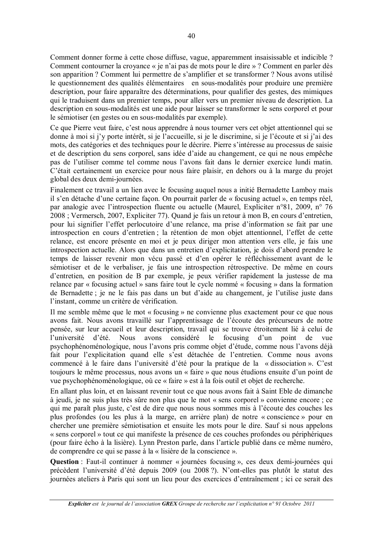Comment donner forme à cette chose diffuse, vague, apparemment insaisissable et indicible ? Comment contourner la croyance « je n'ai pas de mots pour le dire » ? Comment en parler dès son apparition? Comment lui permettre de s'amplifier et se transformer? Nous avons utilisé le questionnement des qualités élémentaires en sous-modalités pour produire une première description, pour faire apparaître des déterminations, pour qualifier des gestes, des mimiques qui le traduisent dans un premier temps, pour aller vers un premier niveau de description. La description en sous-modalités est une aide pour laisser se transformer le sens corporel et pour le sémiotiser (en gestes ou en sous-modalités par exemple).

Ce que Pierre veut faire, c'est nous apprendre à nous tourner vers cet objet attentionnel qui se donne à moi si j'v porte intérêt, si je l'accueille, si je le discrimine, si je l'écoute et si j'ai des mots, des catégories et des techniques pour le décrire. Pierre s'intéresse au processus de saisie et de description du sens corporel, sans idée d'aide au changement, ce qui ne nous empêche pas de l'utiliser comme tel comme nous l'avons fait dans le dernier exercice lundi matin. C'était certainement un exercice pour nous faire plaisir, en dehors ou à la marge du projet global des deux demi-journées.

Finalement ce travail a un lien avec le focusing auquel nous a initié Bernadette Lamboy mais il s'en détache d'une certaine facon. On pourrait parler de « focusing actuel », en temps réel, par analogie avec l'introspection fluente ou actuelle (Maurel, Expliciter n°81, 2009, n° 76 2008 : Vermersch, 2007, Expliciter 77). Quand je fais un retour à mon B, en cours d'entretien, pour lui signifier l'effet perlocutoire d'une relance, ma prise d'information se fait par une introspection en cours d'entretien ; la rétention de mon objet attentionnel, l'effet de cette relance, est encore présente en moi et je peux diriger mon attention vers elle, je fais une introspection actuelle. Alors que dans un entretien d'explicitation, je dois d'abord prendre le temps de laisser revenir mon vécu passé et d'en opérer le réfléchissement avant de le sémiotiser et de le verbaliser, je fais une introspection rétrospective. De même en cours d'entretien, en position de B par exemple, je peux vérifier rapidement la justesse de ma relance par « focusing actuel » sans faire tout le cycle nommé « focusing » dans la formation de Bernadette ; je ne le fais pas dans un but d'aide au changement, je l'utilise juste dans l'instant, comme un critère de vérification.

Il me semble même que le mot « focusing » ne convienne plus exactement pour ce que nous avons fait. Nous avons travaillé sur l'apprentissage de l'écoute des précurseurs de notre pensée, sur leur accueil et leur description, travail qui se trouve étroitement lié à celui de l'université d'été. Nous avons considéré le focusing d'un point de vue psychophénoménologique, nous l'avons pris comme objet d'étude, comme nous l'avons déjà fait pour l'explicitation quand elle s'est détachée de l'entretien. Comme nous avons commencé à le faire dans l'université d'été pour la pratique de la « dissociation ». C'est toujours le même processus, nous avons un « faire » que nous étudions ensuite d'un point de vue psychophénoménologique, où ce « faire » est à la fois outil et objet de recherche.

En allant plus loin, et en laissant revenir tout ce que nous avons fait à Saint Eble de dimanche à jeudi, je ne suis plus très sûre non plus que le mot « sens corporel » convienne encore ; ce qui me paraît plus juste, c'est de dire que nous nous sommes mis à l'écoute des couches les plus profondes (ou les plus à la marge, en arrière plan) de notre « conscience » pour en chercher une première sémiotisation et ensuite les mots pour le dire. Sauf si nous appelons « sens corporel » tout ce qui manifeste la présence de ces couches profondes ou périphériques (pour faire écho à la lisière). Lynn Preston parle, dans l'article publié dans ce même numéro, de comprendre ce qui se passe à la « lisière de la conscience ».

**Ouestion**: Faut-il continuer à nommer « journées focusing », ces deux demi-journées qui précèdent l'université d'été depuis 2009 (ou 2008 ?). N'ont-elles pas plutôt le statut des journées ateliers à Paris qui sont un lieu pour des exercices d'entraînement ; ici ce serait des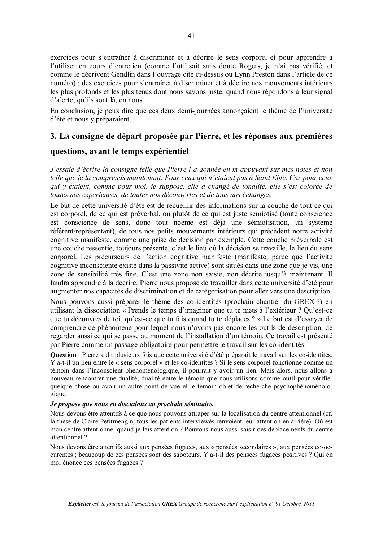exercices pour s'entraîner à discriminer et à décrire le sens corporel et pour apprendre à l'utiliser en cours d'entretien (comme l'utilisait sans doute Rogers, je n'ai pas vérifié, et comme le décrivent Gendlin dans l'ouvrage cité ci-dessus ou Lynn Preston dans l'article de ce numéro) : des exercices pour s'entraîner à discriminer et à décrire nos mouvements intérieurs les plus profonds et les plus ténus dont nous savons juste, quand nous répondons à leur signal d'alerte, qu'ils sont là, en nous.

En conclusion, je peux dire que ces deux demi-journées annoncaient le thème de l'université d'été et nous y préparaient.

## 3. La consigne de départ proposée par Pierre, et les réponses aux premières

## questions, avant le temps expérientiel

J'essaie d'écrire la consigne telle que Pierre l'a donnée en m'appuyant sur mes notes et non telle que je la comprends maintenant. Pour ceux qui n'étaient pas à Saint Eble. Car pour ceux qui y étaient, comme pour moi, je suppose, elle a changé de tonalité, elle s'est colorée de toutes nos expériences, de toutes nos découvertes et de tous nos échanges.

Le but de cette université d'été est de recueillir des informations sur la couche de tout ce qui est corporel, de ce qui est préverbal, ou plutôt de ce qui est juste sémiotisé (toute conscience est conscience de sens, donc tout noème est déjà une sémiotisation, un système référent/représentant), de tous nos petits mouvements intérieurs qui précèdent notre activité cognitive manifeste, comme une prise de décision par exemple. Cette couche préverbale est une couche ressentie, toujours présente, c'est le lieu où la décision se travaille, le lieu du sens corporel. Les précurseurs de l'action cognitive manifeste (manifeste, parce que l'activité cognitive inconsciente existe dans la passivité active) sont situés dans une zone que je vis, une zone de sensibilité très fine. C'est une zone non saisie, non décrite jusqu'à maintenant. Il faudra apprendre à la décrire. Pierre nous propose de travailler dans cette université d'été pour augmenter nos capacités de discrimination et de catégorisation pour aller vers une description.

Nous pouvons aussi préparer le thème des co-identités (prochain chantier du GREX?) en utilisant la dissociation « Prends le temps d'imaginer que tu te mets à l'extérieur ? Qu'est-ce que tu découvres de toi, qu'est-ce que tu fais quand tu te déplaces ? » Le but est d'essayer de comprendre ce phénomène pour lequel nous n'avons pas encore les outils de description, de regarder aussi ce qui se passe au moment de l'installation d'un témoin. Ce travail est présenté par Pierre comme un passage obligatoire pour permettre le travail sur les co-identités.

Question : Pierre a dit plusieurs fois que cette université d'été préparait le travail sur les co-identités. Y a-t-il un lien entre le « sens corporel » et les co-identités ? Si le sens corporel fonctionne comme un témoin dans l'inconscient phénoménologique, il pourrait y avoir un lien. Mais alors, nous allons à nouveau rencontrer une dualité, dualité entre le témoin que nous utilisons comme outil pour vérifier quelque chose ou avoir un autre point de vue et le témoin objet de recherche psychophénoménologique.

#### Je propose que nous en discutions au prochain séminaire.

Nous devons être attentifs à ce que nous pouvons attraper sur la localisation du centre attentionnel (cf. la thèse de Claire Petitmengin, tous les patients interviewés renvoient leur attention en arrière). Où est mon centre attentionnel quand je fais attention ? Pouvons-nous aussi saisir des déplacements du centre attentionnel?

Nous devons être attentifs aussi aux pensées fugaces, aux « pensées secondaires », aux pensées co-occurentes : beaucoup de ces pensées sont des saboteurs. Y a-t-il des pensées fugaces positives ? Oui en moi énonce ces pensées fugaces ?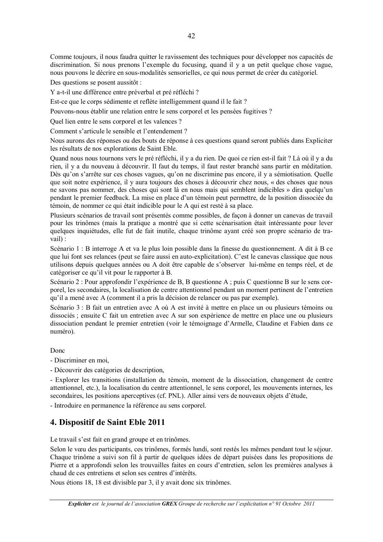Comme toujours, il nous faudra quitter le ravissement des techniques pour développer nos capacités de discrimination. Si nous prenons l'exemple du focusing, quand il y a un petit quelque chose vague, nous pouvons le décrire en sous-modalités sensorielles, ce qui nous permet de créer du catégoriel.

Des questions se posent aussitôt :

Y a-t-il une différence entre préverbal et pré réfléchi ?

Est-ce que le corps sédimente et reflète intelligemment quand il le fait ?

Pouvons-nous établir une relation entre le sens corporel et les pensées fugitives ?

Quel lien entre le sens corporel et les valences ?

Comment s'articule le sensible et l'entendement ?

Nous aurons des réponses ou des bouts de réponse à ces questions quand seront publiés dans Expliciter les résultats de nos explorations de Saint Eble.

Quand nous nous tournons vers le pré réfléchi, il y a du rien. De quoi ce rien est-il fait ? Là où il y a du rien, il y a du nouveau à découvrir. Il faut du temps, il faut rester branché sans partir en méditation. Dès qu'on s'arrête sur ces choses vagues, qu'on ne discrimine pas encore, il y a sémiotisation. Quelle que soit notre expérience, il y aura toujours des choses à découvrir chez nous, « des choses que nous ne savons pas nommer, des choses qui sont là en nous mais qui semblent indicibles » dira quelqu'un pendant le premier feedback. La mise en place d'un témoin peut permettre, de la position dissociée du témoin, de nommer ce qui était indicible pour le A qui est resté à sa place.

Plusieurs scénarios de travail sont présentés comme possibles, de facon à donner un canevas de travail pour les trinômes (mais la pratique a montré que si cette scénarisation était intéressante pour lever quelques inquiétudes, elle fut de fait inutile, chaque trinôme ayant créé son propre scénario de travail):

Scénario 1 : B interroge A et va le plus loin possible dans la finesse du questionnement. A dit à B ce que lui font ses relances (peut se faire aussi en auto-explicitation). C'est le canevas classique que nous utilisons depuis quelques années ou A doit être capable de s'observer lui-même en temps réel, et de catégoriser ce qu'il vit pour le rapporter à B.

Scénario 2 : Pour approfondir l'expérience de B, B questionne A ; puis C questionne B sur le sens corporel, les secondaires, la localisation de centre attentionnel pendant un moment pertinent de l'entretien qu'il a mené avec A (comment il a pris la décision de relancer ou pas par exemple).

Scénario 3 : B fait un entretien avec A où A est invité à mettre en place un ou plusieurs témoins ou dissociés ; ensuite C fait un entretien avec A sur son expérience de mettre en place une ou plusieurs dissociation pendant le premier entretien (voir le témoignage d'Armelle, Claudine et Fabien dans ce numéro).

## Done

- Discriminer en moi.

- Découvrir des catégories de description,

- Explorer les transitions (installation du témoin, moment de la dissociation, changement de centre attentionnel, etc.), la localisation du centre attentionnel, le sens corporel, les mouvements internes, les secondaires, les positions aperceptives (cf. PNL). Aller ainsi vers de nouveaux objets d'étude,

- Introduire en permanence la référence au sens corporel.

## 4. Dispositif de Saint Eble 2011

Le travail s'est fait en grand groupe et en trinômes.

Selon le vœu des participants, ces trinômes, formés lundi, sont restés les mêmes pendant tout le séjour. Chaque trinôme a suivi son fil à partir de quelques idées de départ puisées dans les propositions de Pierre et a approfondi selon les trouvailles faites en cours d'entretien, selon les premières analyses à chaud de ces entretiens et selon ses centres d'intérêts.

Nous étions 18, 18 est divisible par 3, il y avait donc six trinômes.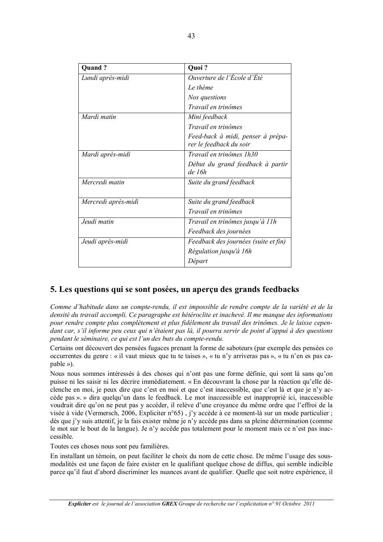| Quand?              | Quoi?                                                        |
|---------------------|--------------------------------------------------------------|
| Lundi après-midi    | Ouverture de l'École d'Été                                   |
|                     | Le thème                                                     |
|                     | Nos questions                                                |
|                     | Travail en trinômes                                          |
| Mardi matin         | Mini feedback                                                |
|                     | Travail en trinômes                                          |
|                     | Feed-back à midi, penser à prépa-<br>rer le feedback du soir |
| Mardi après-midi    | Travail en trinômes 1h30                                     |
|                     | Début du grand feedback à partir<br>de 16h                   |
| Mercredi matin      | Suite du grand feedback                                      |
| Mercredi après-midi | Suite du grand feedback                                      |
|                     | Travail en trinômes                                          |
| Jeudi matin         | Travail en trinômes jusqu'à 11h                              |
|                     | Feedback des journées                                        |
| Jeudi après-midi    | Feedback des journées (suite et fin)                         |
|                     | Régulation jusqu'à 16h                                       |
|                     | Départ                                                       |

## 5. Les questions qui se sont posées, un aperçu des grands feedbacks

Comme d'habitude dans un compte-rendu, il est impossible de rendre compte de la variété et de la densité du travail accompli. Ce paragraphe est hétéroclite et inachevé. Il me manque des informations pour rendre compte plus complètement et plus fidèlement du travail des trinômes. Je le laisse cependant car, s'il informe peu ceux qui n'étaient pas là, il pourra servir de point d'appui à des questions pendant le séminaire, ce qui est l'un des buts du compte-rendu.

Certains ont découvert des pensées fugaces prenant la forme de saboteurs (par exemple des pensées co occurrentes du genre : « il vaut mieux que tu te taises », « tu n'y arriveras pas », « tu n'en es pas capable »).

Nous nous sommes intéressés à des choses qui n'ont pas une forme définie, qui sont là sans qu'on puisse ni les saisir ni les décrire immédiatement. « En découvrant la chose par la réaction qu'elle déclenche en moi, je peux dire que c'est en moi et que c'est inaccessible, que c'est là et que je n'y accède pas ». » dira quelqu'un dans le feedback. Le mot inaccessible est inapproprié ici, inaccessible voudrait dire qu'on ne peut pas y accéder, il relève d'une croyance du même ordre que l'effroi de la visée à vide (Vermersch, 2006, Expliciter  $n^{\circ}65$ ), j'v accède à ce moment-là sur un mode particulier; dès que j'y suis attentif, je la fais exister même je n'y accède pas dans sa pleine détermination (comme le mot sur le bout de la langue). Je n'y accède pas totalement pour le moment mais ce n'est pas inaccessible.

Toutes ces choses nous sont peu familières.

En installant un témoin, on peut faciliter le choix du nom de cette chose. De même l'usage des sousmodalités est une facon de faire exister en le qualifiant quelque chose de diffus, qui semble indicible parce qu'il faut d'abord discriminer les nuances avant de qualifier. Quelle que soit notre expérience, il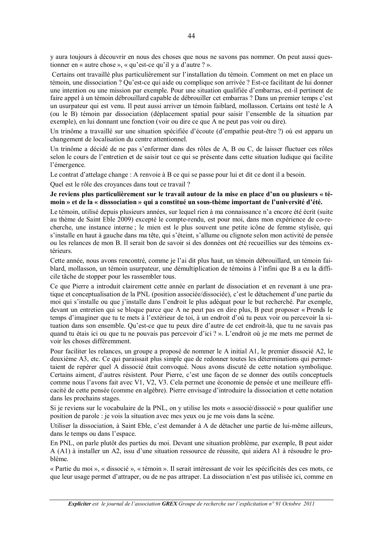y aura toujours à découvrir en nous des choses que nous ne savons pas nommer. On peut aussi questionner en « autre chose », « qu'est-ce qu'il y a d'autre ? ».

Certains ont travaillé plus particulièrement sur l'installation du témoin. Comment on met en place un témoin, une dissociation ? Ou'est-ce qui aide ou complique son arrivée ? Est-ce facilitant de lui donner une intention ou une mission par exemple. Pour une situation qualifiée d'embarras, est-il pertinent de faire appel à un témoin débrouillard capable de débrouiller cet embarras ? Dans un premier temps c'est un usurpateur qui est venu. Il peut aussi arriver un témoin faiblard, mollasson. Certains ont testé le A (ou le B) témoin par dissociation (déplacement spatial pour saisir l'ensemble de la situation par exemple), en lui donnant une fonction (voir ou dire ce que A ne peut pas voir ou dire).

Un trinôme a travaillé sur une situation spécifiée d'écoute (d'empathie peut-être ?) où est apparu un changement de localisation du centre attentionnel.

Un trinôme a décidé de ne pas s'enfermer dans des rôles de A, B ou C, de laisser fluctuer ces rôles selon le cours de l'entretien et de saisir tout ce qui se présente dans cette situation ludique qui facilite l'émergence.

Le contrat d'attelage change : A renvoie à B ce qui se passe pour lui et dit ce dont il a besoin.

Quel est le rôle des croyances dans tout ce travail ?

Je reviens plus particulièrement sur le travail autour de la mise en place d'un ou plusieurs « témoin » et de la « disssociation » qui a constitué un sous-thème important de l'université d'été.

Le témoin, utilisé depuis plusieurs années, sur lequel rien à ma connaissance n'a encore été écrit (suite au thème de Saint Eble 2009) excepté le compte-rendu, est pour moi, dans mon expérience de co-recherche, une instance interne ; le mien est le plus souvent une petite icône de femme stylisée, qui s'installe en haut à gauche dans ma tête, qui s'éteint, s'allume ou clignote selon mon activité de pensée ou les relances de mon B. Il serait bon de savoir si des données ont été recueillies sur des témoins extérieurs.

Cette année, nous avons rencontré, comme je l'ai dit plus haut, un témoin débrouillard, un témoin faiblard, mollasson, un témoin usurpateur, une démultiplication de témoins à l'infini que B a eu la difficile tâche de stopper pour les rassembler tous.

Ce que Pierre a introduit clairement cette année en parlant de dissociation et en revenant à une pratique et conceptualisation de la PNL (position associée/dissociée), c'est le détachement d'une partie du moi qui s'installe ou que j'installe dans l'endroit le plus adéquat pour le but recherché. Par exemple, devant un entretien qui se bloque parce que A ne peut pas en dire plus. B peut proposer « Prends le temps d'imaginer que tu te mets à l'extérieur de toi, à un endroit d'où tu peux voir ou percevoir la situation dans son ensemble. Qu'est-ce que tu peux dire d'autre de cet endroit-là, que tu ne savais pas quand tu étais ici ou que tu ne pouvais pas percevoir d'ici ? ». L'endroit où je me mets me permet de voir les choses différemment.

Pour faciliter les relances, un groupe a proposé de nommer le A initial A1, le premier dissocié A2, le deuxième A3, etc. Ce qui paraissait plus simple que de redonner toutes les déterminations qui permettaient de repérer quel A dissocié était convoqué. Nous avons discuté de cette notation symbolique. Certains aiment, d'autres résistent. Pour Pierre, c'est une façon de se donner des outils conceptuels comme nous l'avons fait avec V1, V2, V3. Cela permet une économie de pensée et une meilleure efficacité de cette pensée (comme en algèbre). Pierre envisage d'introduire la dissociation et cette notation dans les prochains stages.

Si je reviens sur le vocabulaire de la PNL, on y utilise les mots « associé/dissocié » pour qualifier une position de parole : je vois la situation avec mes yeux ou je me vois dans la scène.

Utiliser la dissociation, à Saint Eble, c'est demander à A de détacher une partie de lui-même ailleurs, dans le temps ou dans l'espace.

En PNL, on parle plutôt des parties du moi. Devant une situation problème, par exemple, B peut aider A (A1) à installer un A2, issu d'une situation ressource de réussite, qui aidera A1 à résoudre le problème.

« Partie du moi », « dissocié », « témoin ». Il serait intéressant de voir les spécificités des ces mots, ce que leur usage permet d'attraper, ou de ne pas attraper. La dissociation n'est pas utilisée ici, comme en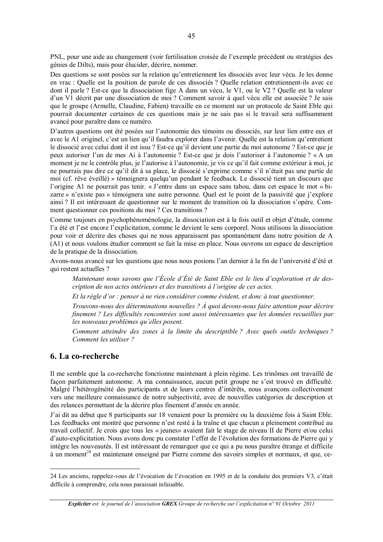PNL, pour une aide au changement (voir fertilisation croisée de l'exemple précédent ou stratégies des génies de Dilts), mais pour élucider, décrire, nommer.

Des questions se sont posées sur la relation qu'entretiennent les dissociés avec leur vécu. Je les donne en vrac : Ouelle est la position de parole de ces dissociés ? Ouelle relation entretiennent-ils avec ce dont il parle ? Est-ce que la dissociation fige A dans un vécu. le V1, ou le V2 ? Quelle est la valeur d'un V1 décrit par une dissociation de moi ? Comment savoir à quel vécu elle est associée ? Je sais que le groupe (Armelle, Claudine, Fabien) travaille en ce moment sur un protocole de Saint Eble qui pourrait documenter certaines de ces questions mais je ne sais pas si le travail sera suffisamment avancé pour paraître dans ce numéro.

D'autres questions ont été posées sur l'autonomie des témoins ou dissociés, sur leur lien entre eux et avec le A1 originel, c'est un lien qu'il faudra explorer dans l'avenir. Quelle est la relation qu'entretient le dissocié avec celui dont il est issu ? Est-ce qu'il devient une partie du moi autonome ? Est-ce que je peux autoriser l'un de mes Ai à l'autonomie ? Est-ce que je dois l'autoriser à l'autonomie ? « A un moment je ne le contrôle plus, je l'autorise à l'autonomie, je vis ce qu'il fait comme extérieur à moi, je ne pourrais pas dire ce qu'il dit à sa place, le dissocié s'exprime comme s'il n'était pas une partie de moi (cf. rêve éveillé) » témoignera quelqu'un pendant le feedback. Le dissocié tient un discours que l'origine A1 ne pourrait pas tenir. « J'entre dans un espace sans tabou, dans cet espace le mot « bizarre » n'existe pas » témoignera une autre personne. Quel est le point de la passivité que j'explore ainsi ? Il est intéressant de questionner sur le moment de transition où la dissociation s'opère. Comment questionner ces positions du moi ? Ces transitions ?

Comme toujours en psychophénoménologie, la dissociation est à la fois outil et objet d'étude, comme l'a été et l'est encore l'explicitation, comme le devient le sens corporel. Nous utilisons la dissociation pour voir et décrire des choses qui ne nous apparaissent pas spontanément dans notre position de A (A1) et nous voulons étudier comment se fait la mise en place. Nous ouvrons un espace de description de la pratique de la dissociation.

Avons-nous avancé sur les questions que nous nous posions l'an dernier à la fin de l'université d'été et qui restent actuelles ?

Maintenant nous savons que l'École d'Été de Saint Eble est le lieu d'exploration et de description de nos actes intérieurs et des transitions à l'origine de ces actes.

Et la règle d'or : penser à ne rien considérer comme évident, et donc à tout questionner.

Trouvons-nous des déterminations nouvelles ? À quoi devons-nous faire attention pour décrire finement ? Les difficultés rencontrées sont aussi intéressantes que les données recueillies par les nouveaux problèmes qu'elles posent.

Comment atteindre des zones à la limite du descriptible ? Avec quels outils techniques ? Comment les utiliser?

#### 6. La co-recherche

Il me semble que la co-recherche fonctionne maintenant à plein régime. Les trinômes ont travaillé de facon parfaitement autonome. A ma connaissance, aucun petit groupe ne s'est trouvé en difficulté. Malgré l'hétérogénéité des participants et de leurs centres d'intérêts, nous avançons collectivement vers une meilleure connaissance de notre subjectivité, avec de nouvelles catégories de description et des relances permettant de la décrire plus finement d'année en année.

J'ai dit au début que 8 participants sur 18 venaient pour la première ou la deuxième fois à Saint Eble. Les feedbacks ont montré que personne n'est resté à la traîne et que chacun a pleinement contribué au travail collectif. Je crois que tous les « jeunes» avaient fait le stage de niveau II de Pierre et/ou celui d'auto-explicitation. Nous avons donc pu constater l'effet de l'évolution des formations de Pierre qui y intègre les nouveautés. Il est intéressant de remarquer que ce qui a pu nous paraître étrange et difficile à un moment<sup>24</sup> est maintenant enseigné par Pierre comme des savoirs simples et normaux, et que, ce-

<sup>24</sup> Les anciens, rappelez-vous de l'évocation de l'évocation en 1995 et de la conduite des premiers V3, c'était difficile à comprendre, cela nous paraissait infaisable.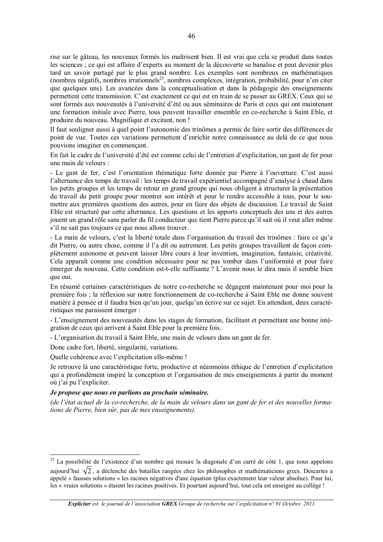rise sur le gâteau, les nouveaux formés les maîtrisent bien. Il est vrai que cela se produit dans toutes les sciences : ce qui est affaire d'experts au moment de la découverte se banalise et peut devenir plus tard un savoir partagé par le plus grand nombre. Les exemples sont nombreux en mathématiques (nombres négatifs, nombres irrationnels<sup>25</sup>, nombres complexes, intégration, probabilité, pour n'en citer que quelques uns). Les avancées dans la conceptualisation et dans la pédagogie des enseignements permettent cette transmission. C'est exactement ce qui est en train de se passer au GREX. Ceux qui se sont formés aux nouveautés à l'université d'été ou aux séminaires de Paris et ceux qui ont maintenant une formation initiale avec Pierre, tous peuvent travailler ensemble en co-recherche à Saint Eble, et produire du nouveau. Magnifique et excitant, non!

Il faut souligner aussi à quel point l'autonomie des trinômes a permis de faire sortir des différences de point de vue. Toutes ces variations permettent d'enrichir notre connaissance au delà de ce que nous pouvions imaginer en commençant.

En fait le cadre de l'université d'été est comme celui de l'entretien d'explicitation, un gant de fer pour une main de velours :

- Le gant de fer, c'est l'orientation thématique forte donnée par Pierre à l'ouverture. C'est aussi l'alternance des temps de travail : les temps de travail expérientiel accompagné d'analyse à chaud dans les petits groupes et les temps de retour en grand groupe qui nous obligent à structurer la présentation du travail du petit groupe pour montrer son intérêt et pour le rendre accessible à tous, pour le soumettre aux premières questions des autres, pour en faire des objets de discussion. Le travail de Saint Eble est structuré par cette alternance. Les questions et les apports conceptuels des uns et des autres jouent un grand rôle sans parler du fil conducteur que tient Pierre parce qu'il sait où il veut aller même s'il ne sait pas toujours ce que nous allons trouver.

- La main de velours, c'est la liberté totale dans l'organisation du travail des trinômes : faire ce qu'a dit Pierre, ou autre chose, comme il l'a dit ou autrement. Les petits groupes travaillent de facon complètement autonome et peuvent laisser libre cours à leur invention, imagination, fantaisie, créativité, Cela apparaît comme une condition nécessaire pour ne pas tomber dans l'uniformité et pour faire émerger du nouveau. Cette condition est-t-elle suffisante ? L'avenir nous le dira mais il semble bien que oui.

En résumé certaines caractéristiques de notre co-recherche se dégagent maintenant pour moi pour la première fois : la réflexion sur notre fonctionnement de co-recherche à Saint Eble me donne souvent matière à pensée et il faudra bien qu'un jour, quelqu'un écrive sur ce sujet. En attendant, deux caractéristiques me paraissent émerger :

- L'enseignement des nouveautés dans les stages de formation, facilitant et permettant une bonne intégration de ceux qui arrivent à Saint Eble pour la première fois.

- L'organisation du travail à Saint Eble, une main de velours dans un gant de fer.

Donc cadre fort, liberté, singularité, variations.

Quelle cohérence avec l'explicitation elle-même !

Je retrouve là une caractéristique forte, productive et néanmoins éthique de l'entretien d'explicitation qui a profondément inspiré la conception et l'organisation de mes enseignements à partir du moment où j'ai pu l'expliciter.

#### Je propose que nous en parlions au prochain séminaire.

(de l'état actuel de la co-recherche, de la main de velours dans un gant de fer et des nouvelles formations de Pierre, bien sûr, pas de mes enseignements).

<sup>&</sup>lt;sup>25</sup> La possibilité de l'existence d'un nombre qui mesure la diagonale d'un carré de côté 1, que nous appelons

aujourd'hui  $\sqrt{2}$ , a déclenché des batailles rangées chez les philosophes et mathématiciens grecs. Descartes a appelé « fausses solutions » les racines négatives d'une équation (plus exactement leur valeur absolue). Pour lui, les « vraies solutions » étaient les racines positives. Et pourtant aujourd'hui, tout cela est enseigné au collège !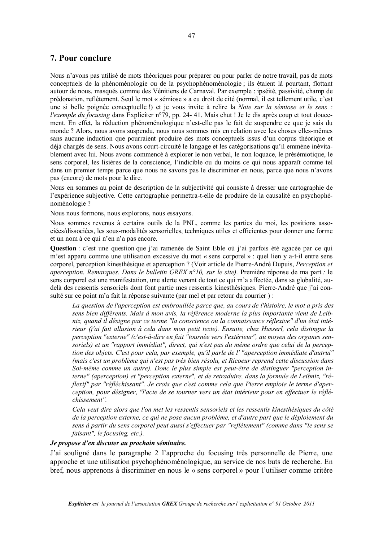## 7. Pour conclure

Nous n'avons pas utilisé de mots théoriques pour préparer ou pour parler de notre travail, pas de mots conceptuels de la phénoménologie ou de la psychophénoménologie : ils étaient là pourtant, flottant autour de nous, masqués comme des Vénitiens de Carnaval. Par exemple : ipséité, passivité, champ de prédonation, reflètement. Seul le mot « sémiose » a eu droit de cité (normal, il est tellement utile, c'est une si belle poignée conceptuelle !) et je vous invite à relire la Note sur la sémiose et le sens : *l'exemple du focusing* dans Expliciter n°79, pp. 24-41. Mais chut ! Je le dis après coup et tout doucement. En effet, la réduction phénoménologique n'est-elle pas le fait de suspendre ce que je sais du monde ? Alors, nous avons suspendu, nous nous sommes mis en relation avec les choses elles-mêmes sans aucune induction que pourraient produire des mots conceptuels issus d'un corpus théorique et déjà chargés de sens. Nous avons court-circuité le langage et les catégorisations qu'il emmène inévitablement avec lui. Nous avons commencé à explorer le non verbal, le non loquace, le présémiotique, le sens corporel, les lisières de la conscience, l'indicible ou du moins ce qui nous apparaît comme tel dans un premier temps parce que nous ne savons pas le discriminer en nous, parce que nous n'avons pas (encore) de mots pour le dire.

Nous en sommes au point de description de la subjectivité qui consiste à dresser une cartographie de l'expérience subjective. Cette cartographie permettra-t-elle de produire de la causalité en psychophénoménologie?

Nous nous formons, nous explorons, nous essayons.

Nous sommes revenus à certains outils de la PNL, comme les parties du moi, les positions associées/dissociées, les sous-modalités sensorielles, techniques utiles et efficientes pour donner une forme et un nom à ce qui n'en n'a pas encore.

Question : c'est une question que j'ai ramenée de Saint Eble où j'ai parfois été agacée par ce qui m'est apparu comme une utilisation excessive du mot « sens corporel » : quel lien y a-t-il entre sens corporel, perception kinesthésique et aperception ? (Voir article de Pierre-André Dupuis, Perception et aperception. Remarques, Dans le bulletin GREX  $n^{\circ}10$ , sur le site). Première réponse de ma part : le sens corporel est une manifestation, une alerte venant de tout ce qui m'a affectée, dans sa globalité, audelà des ressentis sensoriels dont font partie mes ressentis kinesthésiques. Pierre-André que j'ai consulté sur ce point m'a fait la réponse suivante (par mel et par retour du courrier) :

La question de l'aperception est embrouillée parce que, au cours de l'histoire, le mot a pris des sens bien différents. Mais à mon avis, la référence moderne la plus importante vient de Leibniz, quand il désigne par ce terme "la conscience ou la connaissance réflexive" d'un état intérieur (i'ai fait allusion à cela dans mon petit texte). Ensuite, chez Husserl, cela distingue la perception "externe" (c'est-à-dire en fait "tournée vers l'extérieur", au moyen des organes sensoriels) et un "rapport immédiat", direct, qui n'est pas du même ordre que celui de la perception des objets. C'est pour cela, par exemple, qu'il parle de l' "aperception immédiate d'autrui" (mais c'est un problème qui n'est pas très bien résolu, et Ricoeur reprend cette discussion dans Soi-même comme un autre). Donc le plus simple est peut-être de distinguer "perception interne" (aperception) et "perception externe", et de retraduire, dans la formule de Leibniz, "réflexif" par "réfléchissant". Je crois que c'est comme cela que Pierre emploie le terme d'aperception, pour désigner, "l'acte de se tourner vers un état intérieur pour en effectuer le réflé $chissement''$ 

Cela veut dire alors que l'on met les ressentis sensoriels et les ressentis kinesthésiques du côté de la perception externe, ce qui ne pose aucun problème, et d'autre part que le déploiement du sens à partir du sens corporel peut aussi s'effectuer par "reflètement" (comme dans "le sens se faisant", le focusing, etc.).

## Je propose d'en discuter au prochain séminaire.

J'ai souligné dans le paragraphe 2 l'approche du focusing très personnelle de Pierre, une approche et une utilisation psychophénoménologique, au service de nos buts de recherche. En bref, nous apprenons à discriminer en nous le « sens corporel » pour l'utiliser comme critère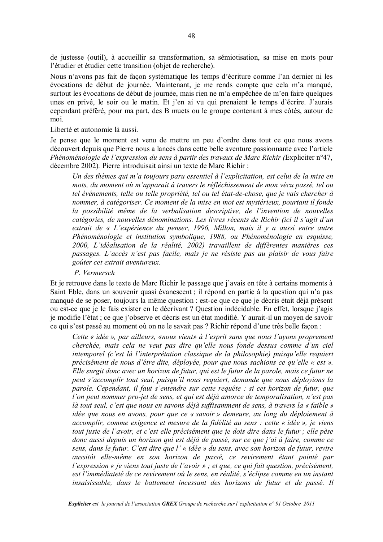de justesse (outil), à accueillir sa transformation, sa sémiotisation, sa mise en mots pour l'étudier et étudier cette transition (objet de recherche).

Nous n'avons pas fait de façon systématique les temps d'écriture comme l'an dernier ni les évocations de début de journée. Maintenant, je me rends compte que cela m'a manqué, surtout les évocations de début de journée, mais rien ne m'a empêchée de m'en faire quelques unes en privé, le soir ou le matin. Et j'en ai vu qui prenaient le temps d'écrire. J'aurais cependant préféré, pour ma part, des B muets ou le groupe contenant à mes côtés, autour de moi.

Liberté et autonomie là aussi.

Je pense que le moment est venu de mettre un peu d'ordre dans tout ce que nous avons découvert depuis que Pierre nous a lancés dans cette belle aventure passionnante avec l'article Phénoménologie de l'expression du sens à partir des travaux de Marc Richir (Expliciter n°47, décembre 2002). Pierre introduisait ainsi un texte de Marc Richir:

Un des thèmes qui m'a toujours paru essentiel à l'explicitation, est celui de la mise en mots, du moment où m'apparaît à travers le réfléchissement de mon vécu passé, tel ou tel événements, telle ou telle propriété, tel ou tel état-de-chose, que je vais chercher à nommer, à catégoriser. Ce moment de la mise en mot est mystérieux, pourtant il fonde la possibilité même de la verbalisation descriptive, de l'invention de nouvelles catégories, de nouvelles dénominations. Les livres récents de Richir (ici il s'agit d'un extrait de « L'expérience du penser, 1996, Millon, mais il y a aussi entre autre Phénoménologie et institution symbolique, 1988, ou Phénoménologie en esquisse, 2000, L'idéalisation de la réalité, 2002) travaillent de différentes manières ces passages. L'accès n'est pas facile, mais je ne résiste pas au plaisir de vous faire goûter cet extrait aventureux.

#### P. Vermersch

Et je retrouve dans le texte de Marc Richir le passage que j'avais en tête à certains moments à Saint Eble, dans un souvenir quasi évanescent ; il répond en partie à la question qui n'a pas manqué de se poser, toujours la même question : est-ce que ce que je décris était déjà présent ou est-ce que je le fais exister en le décrivant ? Question indécidable. En effet, lorsque j'agis je modifie l'état ; ce que j'observe et décris est un état modifié. Y aurait-il un moyen de savoir ce qui s'est passé au moment où on ne le savait pas ? Richir répond d'une très belle façon :

Cette « idée », par ailleurs, «nous vient» à l'esprit sans que nous l'ayons proprement cherchée, mais cela ne veut pas dire qu'elle nous fonde dessus comme d'un ciel intemporel (c'est là l'interprétation classique de la philosophie) puisqu'elle requiert précisément de nous d'être dite, déployée, pour que nous sachions ce qu'elle « est ». Elle surgit donc avec un horizon de futur, qui est le futur de la parole, mais ce futur ne peut s'accomplir tout seul, puisqu'il nous requiert, demande que nous déployions la parole. Cependant, il faut s'entendre sur cette requête : si cet horizon de futur, que l'on peut nommer pro-jet de sens, et qui est déjà amorce de temporalisation, n'est pas là tout seul, c'est que nous en savons déjà suffisamment de sens, à travers la « faible » idée que nous en avons, pour que ce « savoir » demeure, au long du déploiement à accomplir, comme exigence et mesure de la fidélité au sens : cette « idée », je viens tout juste de l'avoir, et c'est elle précisément que je dois dire dans le futur ; elle pèse donc aussi depuis un horizon qui est déjà de passé, sur ce que j'ai à faire, comme ce sens, dans le futur. C'est dire que l'« idée » du sens, avec son horizon de futur, revire aussitôt elle-même en son horizon de passé, ce revirement étant pointé par l'expression « je viens tout juste de l'avoir » ; et que, ce qui fait question, précisément, est l'immédiateté de ce revirement où le sens, en réalité, s'éclipse comme en un instant insaisissable, dans le battement incessant des horizons de futur et de passé. Il